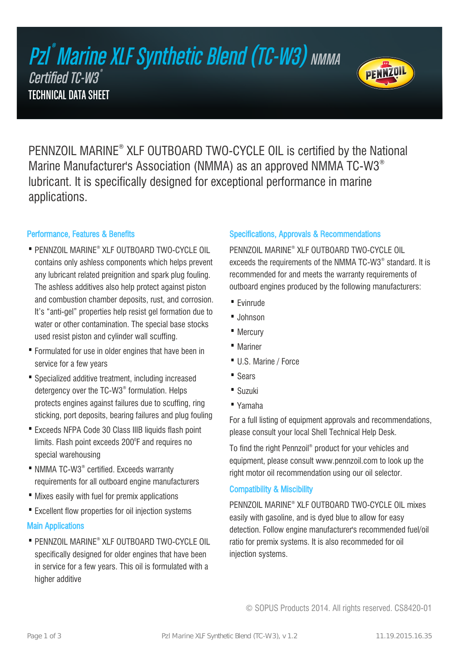# Pzl ®  $\degree$ Marine XLF Synthetic Blend (TC-W3) NMMA Certified TC-W3 $^{\degree}$ TECHNICAL DATA SHEET



PENNZOIL MARINE® XLF OUTBOARD TWO-CYCLE OIL is certified by the National Marine Manufacturer's Association (NMMA) as an approved NMMA TC-W3® lubricant. It is specifically designed for exceptional performance in marine applications.

#### Performance, Features & Benefits

- PENNZOIL MARINE® XLF OUTBOARD TWO-CYCLE OIL contains only ashless components which helps prevent any lubricant related preignition and spark plug fouling. The ashless additives also help protect against piston and combustion chamber deposits, rust, and corrosion. It's "anti-gel" properties help resist gel formation due to water or other contamination. The special base stocks used resist piston and cylinder wall scuffing.
- Formulated for use in older engines that have been in service for a few years
- Specialized additive treatment, including increased detergency over the TC-W3® formulation. Helps protects engines against failures due to scuffing, ring sticking, port deposits, bearing failures and plug fouling
- Exceeds NFPA Code 30 Class IIIB liquids flash point limits. Flash point exceeds 200 $^{\circ}$ F and requires no special warehousing
- NMMA TC-W3® certified. Exceeds warranty requirements for all outboard engine manufacturers
- · Mixes easily with fuel for premix applications
- · Excellent flow properties for oil injection systems

# Main Applications

• PENNZOIL MARINE® XLF OUTBOARD TWO-CYCLE OIL specifically designed for older engines that have been in service for a few years. This oil is formulated with a higher additive

# Specifications, Approvals & Recommendations

PENNZOIL MARINE® XLF OUTBOARD TWO-CYCLE OIL exceeds the requirements of the NMMA TC-W3® standard. It is recommended for and meets the warranty requirements of outboard engines produced by the following manufacturers:

- · Evinrude
- · Johnson
- · Mercury
- · Mariner
- · U.S. Marine / Force
- · Sears
- · Suzuki
- · Yamaha

For a full listing of equipment approvals and recommendations, please consult your local Shell Technical Help Desk.

To find the right Pennzoil® product for your vehicles and equipment, please consult www.pennzoil.com to look up the right motor oil recommendation using our oil selector.

#### Compatibility & Miscibility

PENNZOIL MARINE® XLF OUTBOARD TWO-CYCLE OIL mixes easily with gasoline, and is dyed blue to allow for easy detection. Follow engine manufacturer's recommended fuel/oil ratio for premix systems. It is also recommeded for oil injection systems.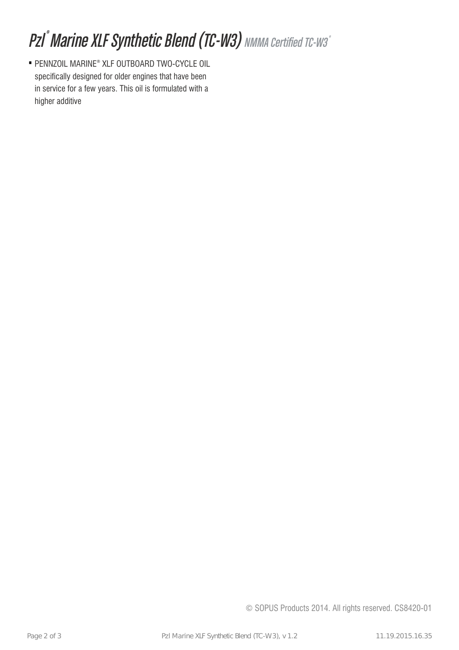# Pzl<sup>®</sup> Marine XLF Synthetic Blend (TC-W3) NMMA Certified TC-W3®

• PENNZOIL MARINE® XLF OUTBOARD TWO-CYCLE OIL specifically designed for older engines that have been in service for a few years. This oil is formulated with a higher additive

© SOPUS Products 2014. All rights reserved. CS8420-01